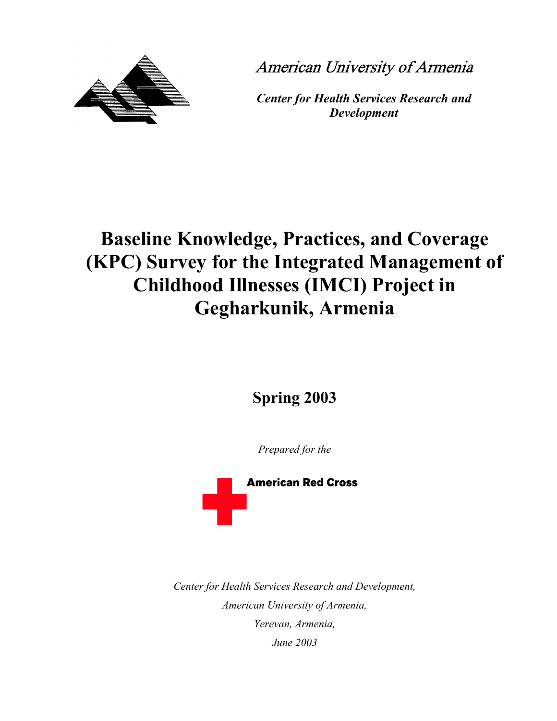



*Center for Health Services Research and Development* 

# **Baseline Knowledge, Practices, and Coverage (KPC) Survey for the Integrated Management of Childhood Illnesses (IMCI) Project in Gegharkunik, Armenia**

**Spring 2003** 

*Prepared for the*



*Center for Health Services Research and Development, American University of Armenia, Yerevan, Armenia, June 2003*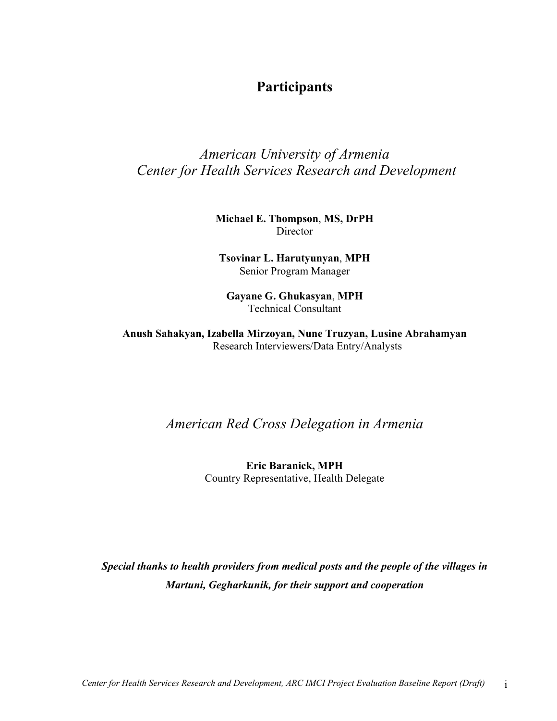## **Participants**

## *American University of Armenia Center for Health Services Research and Development*

## **Michael E. Thompson**, **MS, DrPH** Director

**Tsovinar L. Harutyunyan**, **MPH** Senior Program Manager

**Gayane G. Ghukasyan**, **MPH** Technical Consultant

**Anush Sahakyan, Izabella Mirzoyan, Nune Truzyan, Lusine Abrahamyan**  Research Interviewers/Data Entry/Analysts

*American Red Cross Delegation in Armenia* 

**Eric Baranick, MPH**  Country Representative, Health Delegate

*Special thanks to health providers from medical posts and the people of the villages in Martuni, Gegharkunik, for their support and cooperation*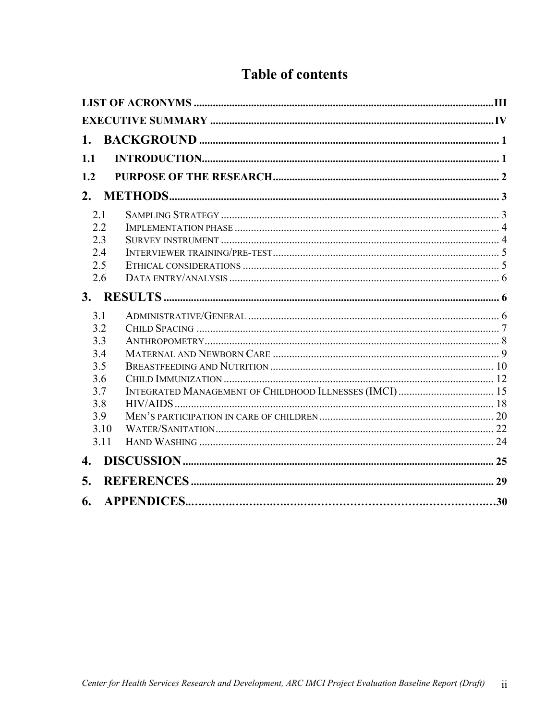## **Table of contents**

| 1.1  |  |
|------|--|
| 1.2  |  |
|      |  |
| 2.1  |  |
| 2.2  |  |
| 2.3  |  |
| 2.4  |  |
| 2.5  |  |
| 2.6  |  |
|      |  |
| 3.1  |  |
| 3.2  |  |
| 3.3  |  |
| 3.4  |  |
| 3.5  |  |
| 3.6  |  |
| 3.7  |  |
| 3.8  |  |
| 3.9  |  |
| 3.10 |  |
| 3.11 |  |
| 4.   |  |
| 5.   |  |
| 6.   |  |
|      |  |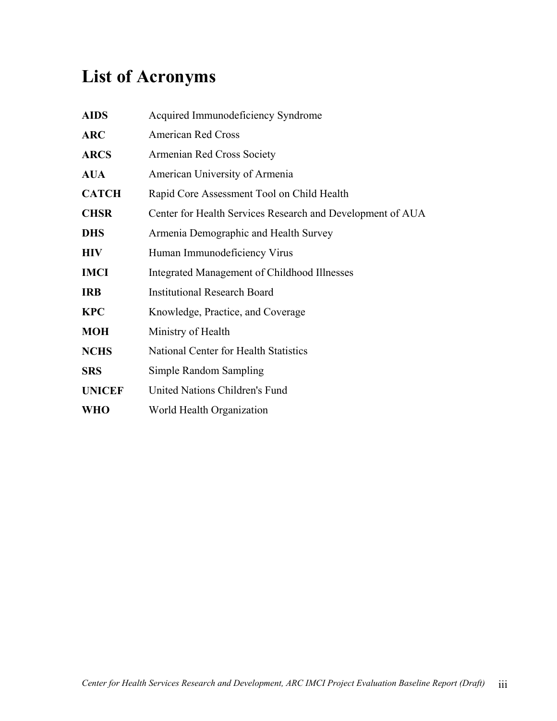# <span id="page-3-0"></span>**List of Acronyms**

| <b>AIDS</b>   | Acquired Immunodeficiency Syndrome                         |
|---------------|------------------------------------------------------------|
| <b>ARC</b>    | <b>American Red Cross</b>                                  |
| <b>ARCS</b>   | Armenian Red Cross Society                                 |
| <b>AUA</b>    | American University of Armenia                             |
| <b>CATCH</b>  | Rapid Core Assessment Tool on Child Health                 |
| <b>CHSR</b>   | Center for Health Services Research and Development of AUA |
| <b>DHS</b>    | Armenia Demographic and Health Survey                      |
| <b>HIV</b>    | Human Immunodeficiency Virus                               |
| <b>IMCI</b>   | Integrated Management of Childhood Illnesses               |
| <b>IRB</b>    | <b>Institutional Research Board</b>                        |
| <b>KPC</b>    | Knowledge, Practice, and Coverage                          |
| <b>MOH</b>    | Ministry of Health                                         |
| <b>NCHS</b>   | National Center for Health Statistics                      |
| <b>SRS</b>    | Simple Random Sampling                                     |
| <b>UNICEF</b> | United Nations Children's Fund                             |
| <b>WHO</b>    | World Health Organization                                  |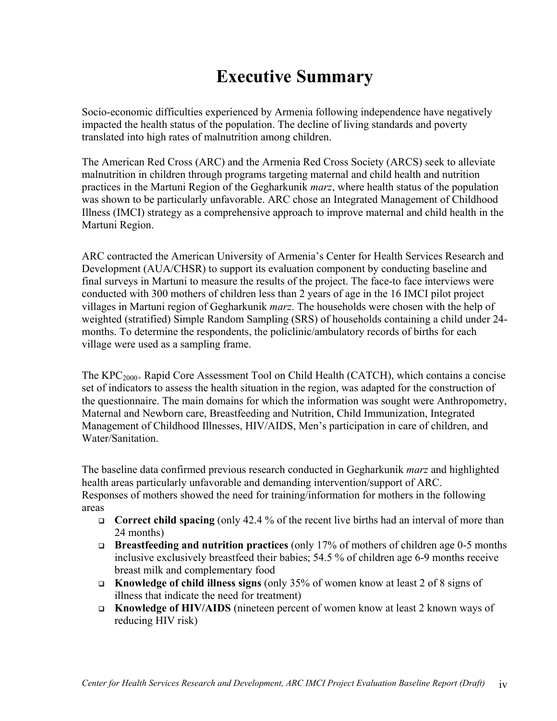# **Executive Summary**

<span id="page-4-0"></span>Socio-economic difficulties experienced by Armenia following independence have negatively impacted the health status of the population. The decline of living standards and poverty translated into high rates of malnutrition among children.

The American Red Cross (ARC) and the Armenia Red Cross Society (ARCS) seek to alleviate malnutrition in children through programs targeting maternal and child health and nutrition practices in the Martuni Region of the Gegharkunik *marz*, where health status of the population was shown to be particularly unfavorable. ARC chose an Integrated Management of Childhood Illness (IMCI) strategy as a comprehensive approach to improve maternal and child health in the Martuni Region.

ARC contracted the American University of Armenia's Center for Health Services Research and Development (AUA/CHSR) to support its evaluation component by conducting baseline and final surveys in Martuni to measure the results of the project. The face-to face interviews were conducted with 300 mothers of children less than 2 years of age in the 16 IMCI pilot project villages in Martuni region of Gegharkunik *marz*. The households were chosen with the help of weighted (stratified) Simple Random Sampling (SRS) of households containing a child under 24 months. To determine the respondents, the policlinic/ambulatory records of births for each village were used as a sampling frame.

The KPC<sub>2000+</sub> Rapid Core Assessment Tool on Child Health (CATCH), which contains a concise set of indicators to assess the health situation in the region, was adapted for the construction of the questionnaire. The main domains for which the information was sought were Anthropometry, Maternal and Newborn care, Breastfeeding and Nutrition, Child Immunization, Integrated Management of Childhood Illnesses, HIV/AIDS, Men's participation in care of children, and Water/Sanitation.

The baseline data confirmed previous research conducted in Gegharkunik *marz* and highlighted health areas particularly unfavorable and demanding intervention/support of ARC. Responses of mothers showed the need for training/information for mothers in the following areas

- □ **Correct child spacing** (only 42.4 % of the recent live births had an interval of more than 24 months)
- **Breastfeeding and nutrition practices** (only 17% of mothers of children age 0-5 months inclusive exclusively breastfeed their babies; 54.5 % of children age 6-9 months receive breast milk and complementary food
- **Knowledge of child illness signs** (only 35% of women know at least 2 of 8 signs of illness that indicate the need for treatment)
- **Knowledge of HIV/AIDS** (nineteen percent of women know at least 2 known ways of reducing HIV risk)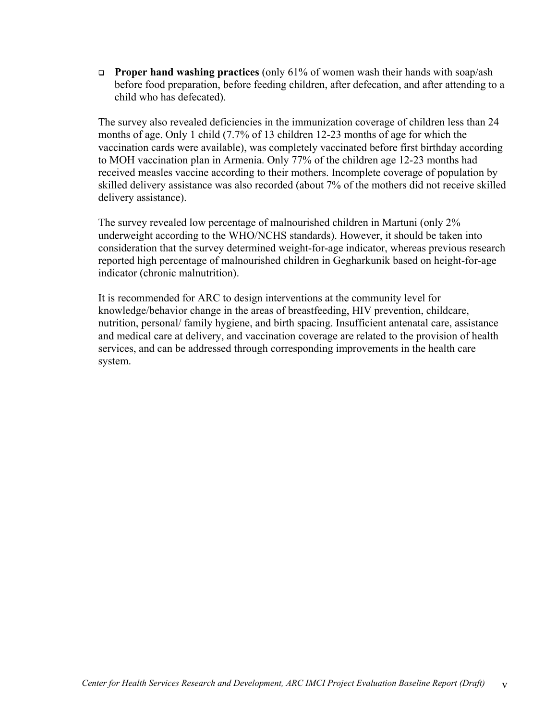**Proper hand washing practices** (only 61% of women wash their hands with soap/ash before food preparation, before feeding children, after defecation, and after attending to a child who has defecated).

The survey also revealed deficiencies in the immunization coverage of children less than 24 months of age. Only 1 child (7.7% of 13 children 12-23 months of age for which the vaccination cards were available), was completely vaccinated before first birthday according to MOH vaccination plan in Armenia. Only 77% of the children age 12-23 months had received measles vaccine according to their mothers. Incomplete coverage of population by skilled delivery assistance was also recorded (about 7% of the mothers did not receive skilled delivery assistance).

The survey revealed low percentage of malnourished children in Martuni (only 2% underweight according to the WHO/NCHS standards). However, it should be taken into consideration that the survey determined weight-for-age indicator, whereas previous research reported high percentage of malnourished children in Gegharkunik based on height-for-age indicator (chronic malnutrition).

It is recommended for ARC to design interventions at the community level for knowledge/behavior change in the areas of breastfeeding, HIV prevention, childcare, nutrition, personal/ family hygiene, and birth spacing. Insufficient antenatal care, assistance and medical care at delivery, and vaccination coverage are related to the provision of health services, and can be addressed through corresponding improvements in the health care system.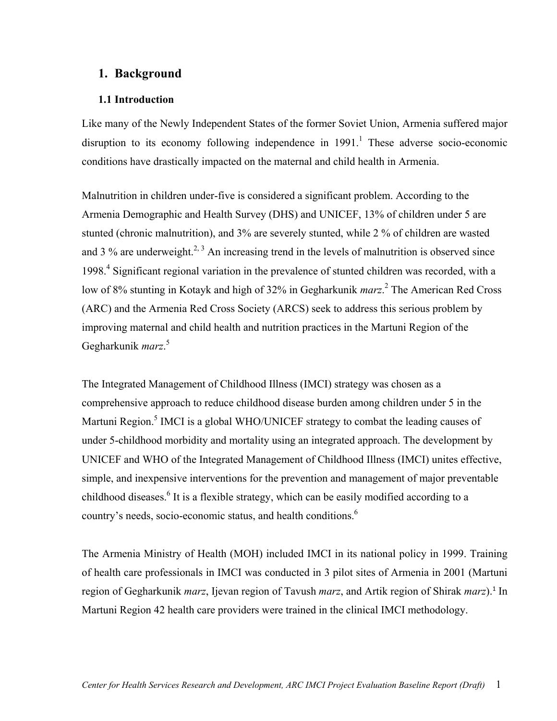## <span id="page-6-0"></span>**1. Background**

#### <span id="page-6-4"></span>**1.1 Introduction**

Like many of the Newly Independent States of the former Soviet Union, Armenia suffered major disruption to its economy following independence in  $1991<sup>1</sup>$  $1991<sup>1</sup>$ . These adverse socio-economic conditions have drastically impacted on the maternal and child health in Armenia.

<span id="page-6-7"></span><span id="page-6-6"></span><span id="page-6-5"></span><span id="page-6-1"></span>Malnutrition in children under-five is considered a significant problem. According to the Armenia Demographic and Health Survey (DHS) and UNICEF, 13% of children under 5 are stunted (chronic malnutrition), and 3% are severely stunted, while 2 % of children are wasted and 3 % are underweight.<sup>[2,](#page-34-2) 3</sup> An increasing trend in the levels of malnutrition is observed since 1998.<sup>[4](#page-34-4)</sup> Significant regional variation in the prevalence of stunted children was recorded, with a lowof 8% stunting in Kotayk and high of 32% in Gegharkunik *marz*.<sup>2</sup> The American Red Cross (ARC) and the Armenia Red Cross Society (ARCS) seek to address this serious problem by improving maternal and child health and nutrition practices in the Martuni Region of the Gegharkunik *marz*. [5](#page-34-5)

<span id="page-6-2"></span>The Integrated Management of Childhood Illness (IMCI) strategy was chosen as a comprehensive approach to reduce childhood disease burden among children under 5 in the Martuni Region.<sup>[5](#page-6-2)</sup> IMCI is a global WHO/UNICEF strategy to combat the leading causes of under 5-childhood morbidity and mortality using an integrated approach. The development by UNICEF and WHO of the Integrated Management of Childhood Illness (IMCI) unites effective, simple, and inexpensive interventions for the prevention and management of major preventable childhood diseases.<sup>[6](#page-34-6)</sup> It is a flexible strategy, which can be easily modified according to a country's needs, socio-economic status, and health conditions.<sup>[6](#page-6-3)</sup>

<span id="page-6-3"></span>The Armenia Ministry of Health (MOH) included IMCI in its national policy in 1999. Training of health care professionals in IMCI was conducted in 3 pilot sites of Armenia in 2001 (Martuni region of Gegharkunik *marz*, Ijevan region of Tavush *marz*, and Artik region of Shirak *marz*).[1](#page-6-4) In Martuni Region 42 health care providers were trained in the clinical IMCI methodology.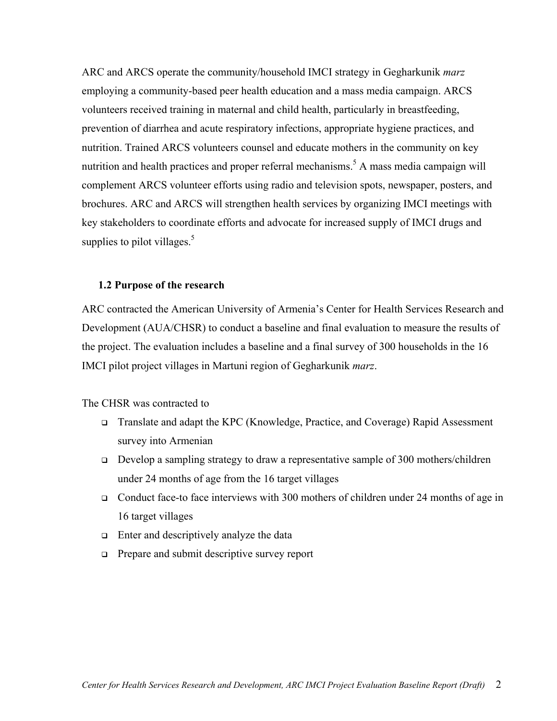<span id="page-7-0"></span>ARC and ARCS operate the community/household IMCI strategy in Gegharkunik *marz* employing a community-based peer health education and a mass media campaign. ARCS volunteers received training in maternal and child health, particularly in breastfeeding, prevention of diarrhea and acute respiratory infections, appropriate hygiene practices, and nutrition. Trained ARCS volunteers counsel and educate mothers in the community on key nutrition and health practices and proper referral mechanisms.<sup>[5](#page-6-2)</sup> A mass media campaign will complement ARCS volunteer efforts using radio and television spots, newspaper, posters, and brochures. ARC and ARCS will strengthen health services by organizing IMCI meetings with key stakeholders to coordinate efforts and advocate for increased supply of IMCI drugs and supplies to pilot villages. $5$ 

#### **1.2 Purpose of the research**

ARC contracted the American University of Armenia's Center for Health Services Research and Development (AUA/CHSR) to conduct a baseline and final evaluation to measure the results of the project. The evaluation includes a baseline and a final survey of 300 households in the 16 IMCI pilot project villages in Martuni region of Gegharkunik *marz*.

The CHSR was contracted to

- Translate and adapt the KPC (Knowledge, Practice, and Coverage) Rapid Assessment survey into Armenian
- Develop a sampling strategy to draw a representative sample of 300 mothers/children under 24 months of age from the 16 target villages
- Conduct face-to face interviews with 300 mothers of children under 24 months of age in 16 target villages
- $\Box$  Enter and descriptively analyze the data
- □ Prepare and submit descriptive survey report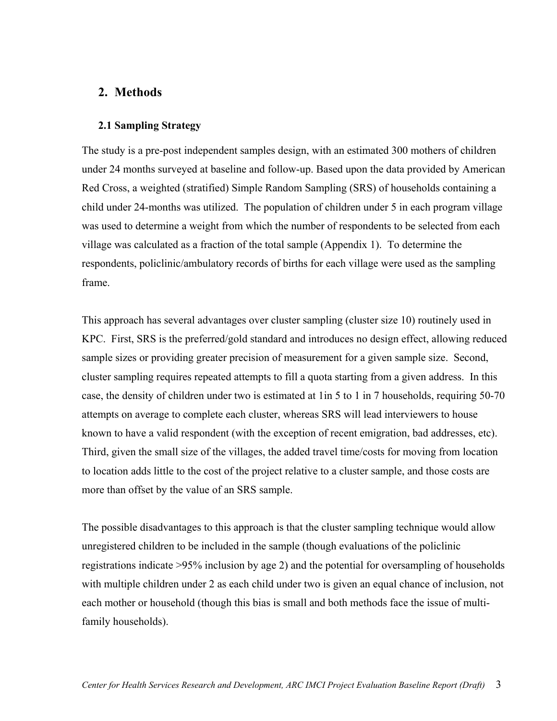## <span id="page-8-0"></span>**2. Methods**

## **2.1 Sampling Strategy**

The study is a pre-post independent samples design, with an estimated 300 mothers of children under 24 months surveyed at baseline and follow-up. Based upon the data provided by American Red Cross, a weighted (stratified) Simple Random Sampling (SRS) of households containing a child under 24-months was utilized. The population of children under 5 in each program village was used to determine a weight from which the number of respondents to be selected from each village was calculated as a fraction of the total sample (Appendix 1). To determine the respondents, policlinic/ambulatory records of births for each village were used as the sampling frame.

This approach has several advantages over cluster sampling (cluster size 10) routinely used in KPC. First, SRS is the preferred/gold standard and introduces no design effect, allowing reduced sample sizes or providing greater precision of measurement for a given sample size. Second, cluster sampling requires repeated attempts to fill a quota starting from a given address. In this case, the density of children under two is estimated at 1in 5 to 1 in 7 households, requiring 50-70 attempts on average to complete each cluster, whereas SRS will lead interviewers to house known to have a valid respondent (with the exception of recent emigration, bad addresses, etc). Third, given the small size of the villages, the added travel time/costs for moving from location to location adds little to the cost of the project relative to a cluster sample, and those costs are more than offset by the value of an SRS sample.

The possible disadvantages to this approach is that the cluster sampling technique would allow unregistered children to be included in the sample (though evaluations of the policlinic registrations indicate >95% inclusion by age 2) and the potential for oversampling of households with multiple children under 2 as each child under two is given an equal chance of inclusion, not each mother or household (though this bias is small and both methods face the issue of multifamily households).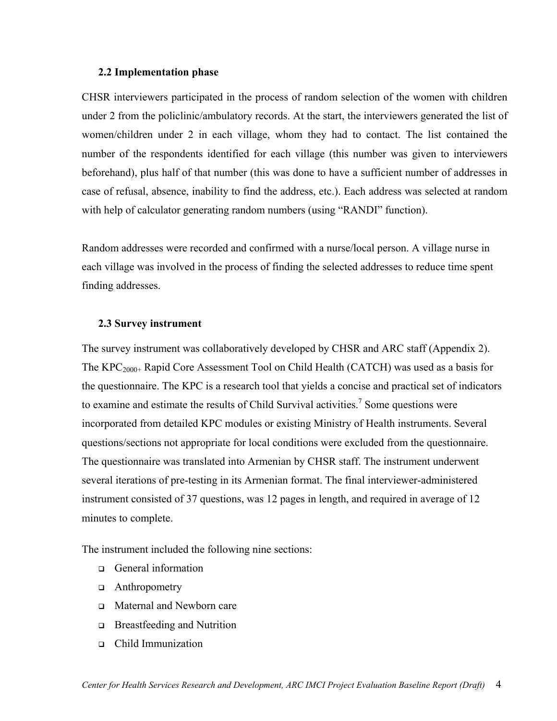#### <span id="page-9-0"></span>**2.2 Implementation phase**

CHSR interviewers participated in the process of random selection of the women with children under 2 from the policlinic/ambulatory records. At the start, the interviewers generated the list of women/children under 2 in each village, whom they had to contact. The list contained the number of the respondents identified for each village (this number was given to interviewers beforehand), plus half of that number (this was done to have a sufficient number of addresses in case of refusal, absence, inability to find the address, etc.). Each address was selected at random with help of calculator generating random numbers (using "RANDI" function).

Random addresses were recorded and confirmed with a nurse/local person. A village nurse in each village was involved in the process of finding the selected addresses to reduce time spent finding addresses.

#### **2.3 Survey instrument**

The survey instrument was collaboratively developed by CHSR and ARC staff (Appendix 2). The  $KPC_{2000+}$  Rapid Core Assessment Tool on Child Health (CATCH) was used as a basis for the questionnaire. The KPC is a research tool that yields a concise and practical set of indicators to examine and estimate the results of Child Survival activities.<sup>[7](#page-34-7)</sup> Some questions were incorporated from detailed KPC modules or existing Ministry of Health instruments. Several questions/sections not appropriate for local conditions were excluded from the questionnaire. The questionnaire was translated into Armenian by CHSR staff. The instrument underwent several iterations of pre-testing in its Armenian format. The final interviewer-administered instrument consisted of 37 questions, was 12 pages in length, and required in average of 12 minutes to complete.

The instrument included the following nine sections:

- General information
- Anthropometry
- □ Maternal and Newborn care
- □ Breastfeeding and Nutrition
- Child Immunization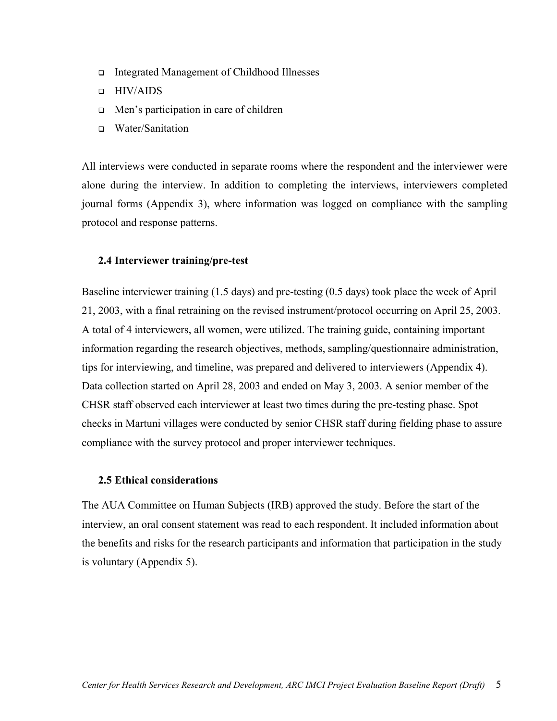- <span id="page-10-0"></span>Integrated Management of Childhood Illnesses
- HIV/AIDS
- □ Men's participation in care of children
- □ Water/Sanitation

All interviews were conducted in separate rooms where the respondent and the interviewer were alone during the interview. In addition to completing the interviews, interviewers completed journal forms (Appendix 3), where information was logged on compliance with the sampling protocol and response patterns.

#### **2.4 Interviewer training/pre-test**

Baseline interviewer training (1.5 days) and pre-testing (0.5 days) took place the week of April 21, 2003, with a final retraining on the revised instrument/protocol occurring on April 25, 2003. A total of 4 interviewers, all women, were utilized. The training guide, containing important information regarding the research objectives, methods, sampling/questionnaire administration, tips for interviewing, and timeline, was prepared and delivered to interviewers (Appendix 4). Data collection started on April 28, 2003 and ended on May 3, 2003. A senior member of the CHSR staff observed each interviewer at least two times during the pre-testing phase. Spot checks in Martuni villages were conducted by senior CHSR staff during fielding phase to assure compliance with the survey protocol and proper interviewer techniques.

#### **2.5 Ethical considerations**

The AUA Committee on Human Subjects (IRB) approved the study. Before the start of the interview, an oral consent statement was read to each respondent. It included information about the benefits and risks for the research participants and information that participation in the study is voluntary (Appendix 5).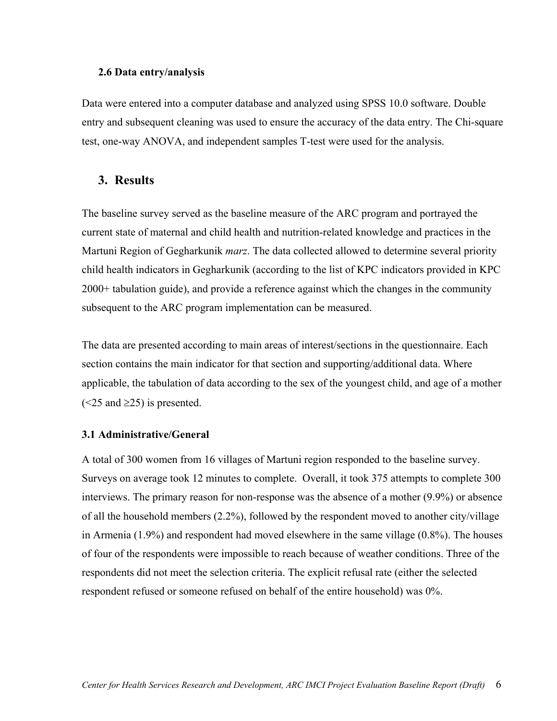#### <span id="page-11-0"></span>**2.6 Data entry/analysis**

Data were entered into a computer database and analyzed using SPSS 10.0 software. Double entry and subsequent cleaning was used to ensure the accuracy of the data entry. The Chi-square test, one-way ANOVA, and independent samples T-test were used for the analysis.

#### **3. Results**

The baseline survey served as the baseline measure of the ARC program and portrayed the current state of maternal and child health and nutrition-related knowledge and practices in the Martuni Region of Gegharkunik *marz*. The data collected allowed to determine several priority child health indicators in Gegharkunik (according to the list of KPC indicators provided in KPC 2000+ tabulation guide), and provide a reference against which the changes in the community subsequent to the ARC program implementation can be measured.

The data are presented according to main areas of interest/sections in the questionnaire. Each section contains the main indicator for that section and supporting/additional data. Where applicable, the tabulation of data according to the sex of the youngest child, and age of a mother  $(<25$  and  $\geq 25$ ) is presented.

#### **3.1 Administrative/General**

A total of 300 women from 16 villages of Martuni region responded to the baseline survey. Surveys on average took 12 minutes to complete. Overall, it took 375 attempts to complete 300 interviews. The primary reason for non-response was the absence of a mother (9.9%) or absence of all the household members (2.2%), followed by the respondent moved to another city/village in Armenia (1.9%) and respondent had moved elsewhere in the same village (0.8%). The houses of four of the respondents were impossible to reach because of weather conditions. Three of the respondents did not meet the selection criteria. The explicit refusal rate (either the selected respondent refused or someone refused on behalf of the entire household) was 0%.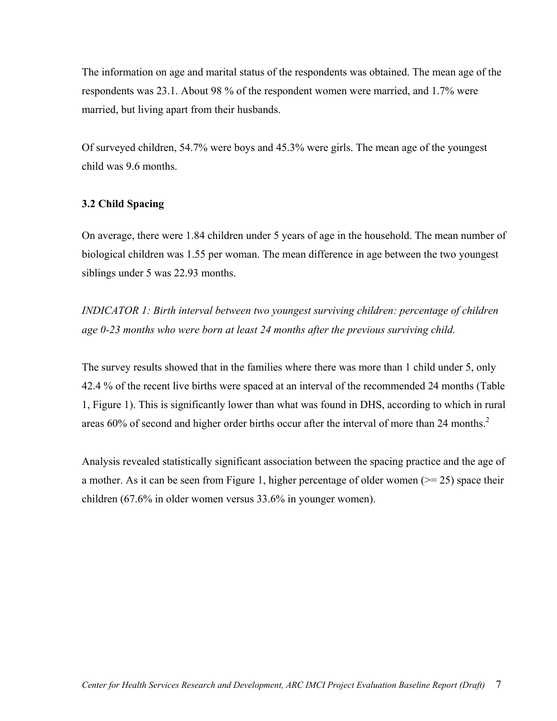<span id="page-12-0"></span>The information on age and marital status of the respondents was obtained. The mean age of the respondents was 23.1. About 98 % of the respondent women were married, and 1.7% were married, but living apart from their husbands.

Of surveyed children, 54.7% were boys and 45.3% were girls. The mean age of the youngest child was 9.6 months.

## **3.2 Child Spacing**

On average, there were 1.84 children under 5 years of age in the household. The mean number of biological children was 1.55 per woman. The mean difference in age between the two youngest siblings under 5 was 22.93 months.

*INDICATOR 1: Birth interval between two youngest surviving children: percentage of children age 0-23 months who were born at least 24 months after the previous surviving child.* 

The survey results showed that in the families where there was more than 1 child under 5, only 42.4 % of the recent live births were spaced at an interval of the recommended 24 months (Table 1, Figure 1). This is significantly lower than what was found in DHS, according to which in rural areas 60% of second and higher order births occur after the interval of more than [2](#page-6-5)4 months.<sup>2</sup>

Analysis revealed statistically significant association between the spacing practice and the age of a mother. As it can be seen from Figure 1, higher percentage of older women ( $\ge$  = 25) space their children (67.6% in older women versus 33.6% in younger women).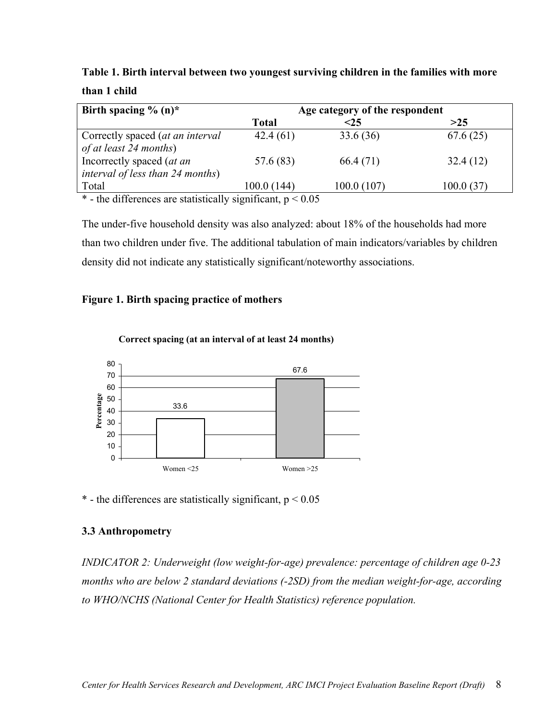<span id="page-13-0"></span>**Table 1. Birth interval between two youngest surviving children in the families with more than 1 child**

| Birth spacing $\%$ (n)*                                              |              | Age category of the respondent |            |
|----------------------------------------------------------------------|--------------|--------------------------------|------------|
|                                                                      | <b>Total</b> | $<$ 25                         | >25        |
| Correctly spaced (at an interval<br>of at least 24 months)           | 42.4(61)     | 33.6(36)                       | 67.6(25)   |
| Incorrectly spaced (at an<br><i>interval of less than 24 months)</i> | 57.6 (83)    | 66.4 (71)                      | 32.4(12)   |
| Total                                                                | 100.0 (144)  | 100.0(107)                     | 100.0 (37) |

\* - the differences are statistically significant,  $p \le 0.05$ 

The under-five household density was also analyzed: about 18% of the households had more than two children under five. The additional tabulation of main indicators/variables by children density did not indicate any statistically significant/noteworthy associations.

#### **Figure 1. Birth spacing practice of mothers**



#### **Correct spacing (at an interval of at least 24 months)**

\* - the differences are statistically significant,  $p < 0.05$ 

## **3.3 Anthropometry**

*INDICATOR 2: Underweight (low weight-for-age) prevalence: percentage of children age 0-23 months who are below 2 standard deviations (-2SD) from the median weight-for-age, according to WHO/NCHS (National Center for Health Statistics) reference population.*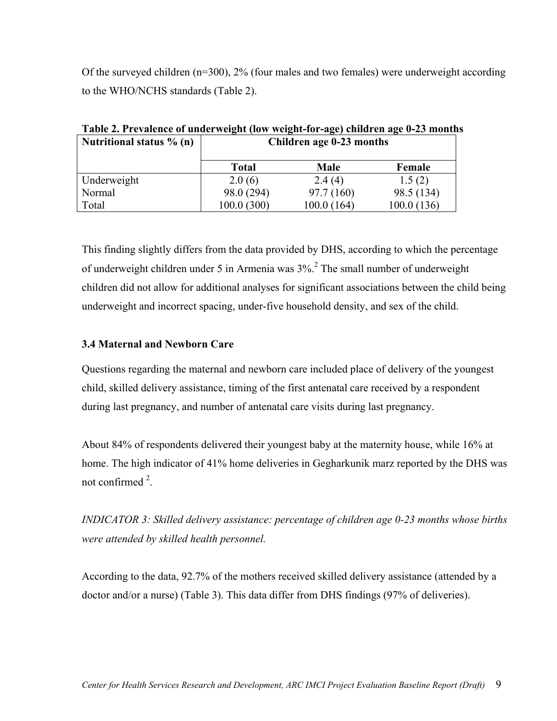<span id="page-14-0"></span>Of the surveyed children  $(n=300)$ , 2% (four males and two females) were underweight according to the WHO/NCHS standards (Table 2).

| Table 2. I Tevalence of unuel weight (low-weight-for-age) children age 0-25 month |                          |             |             |  |  |
|-----------------------------------------------------------------------------------|--------------------------|-------------|-------------|--|--|
| Nutritional status $\%$ (n)                                                       | Children age 0-23 months |             |             |  |  |
|                                                                                   | <b>Total</b>             | <b>Male</b> | Female      |  |  |
| Underweight                                                                       | 2.0(6)                   | 2.4(4)      | 1.5(2)      |  |  |
| Normal                                                                            | 98.0 (294)               | 97.7(160)   | 98.5 (134)  |  |  |
| Total                                                                             | 100.0(300)               | 100.0(164)  | 100.0 (136) |  |  |

**Table 2. Prevalence of underweight (low weight-for-age) children age 0-23 months** 

This finding slightly differs from the data provided by DHS, according to which the percentage ofunderweight children under 5 in Armenia was  $3\%$ <sup>2</sup>. The small number of underweight children did not allow for additional analyses for significant associations between the child being underweight and incorrect spacing, under-five household density, and sex of the child.

## **3.4 Maternal and Newborn Care**

Questions regarding the maternal and newborn care included place of delivery of the youngest child, skilled delivery assistance, timing of the first antenatal care received by a respondent during last pregnancy, and number of antenatal care visits during last pregnancy.

About 84% of respondents delivered their youngest baby at the maternity house, while 16% at home. The high indicator of 41% home deliveries in Gegharkunik marz reported by the DHS was not confirmed  $2$ .

*INDICATOR 3: Skilled delivery assistance: percentage of children age 0-23 months whose births were attended by skilled health personnel.* 

According to the data, 92.7% of the mothers received skilled delivery assistance (attended by a doctor and/or a nurse) (Table 3). This data differ from DHS findings (97% of deliveries).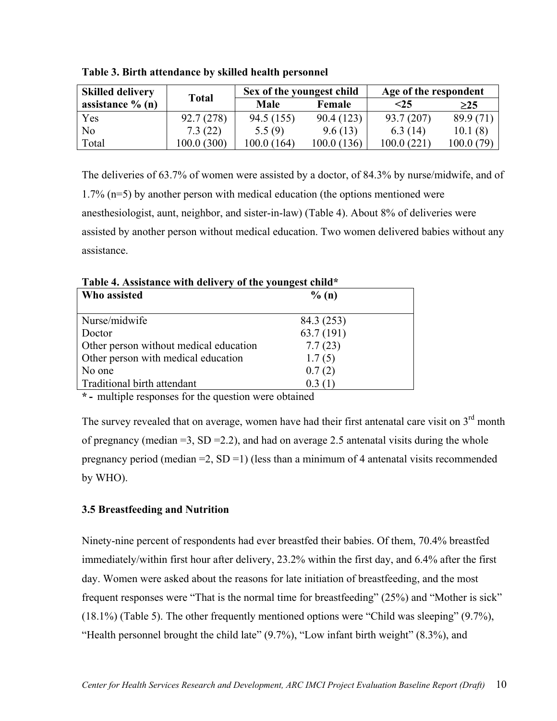| <b>Skilled delivery</b> | <b>Total</b> | Sex of the youngest child |             | Age of the respondent |            |
|-------------------------|--------------|---------------------------|-------------|-----------------------|------------|
| assistance $\%$ (n)     |              | Male                      | Female      | $<$ 25                | $\geq$ 25  |
| Yes                     | 92.7(278)    | 94.5 (155)                | 90.4 (123)  | 93.7 (207)            | 89.9(71)   |
| No                      | 7.3(22)      | 5.5(9)                    | 9.6(13)     | 6.3(14)               | 10.1(8)    |
| Total                   | 100.0 (300)  | 100.0(164)                | 100.0 (136) | 100.0(221)            | 100.0 (79) |

<span id="page-15-0"></span>**Table 3. Birth attendance by skilled health personnel** 

The deliveries of 63.7% of women were assisted by a doctor, of 84.3% by nurse/midwife, and of 1.7% (n=5) by another person with medical education (the options mentioned were anesthesiologist, aunt, neighbor, and sister-in-law) (Table 4). About 8% of deliveries were assisted by another person without medical education. Two women delivered babies without any assistance.

Who assisted  $\%$  (n) Nurse/midwife 84.3 (253) Doctor 63.7 (191) Other person without medical education 7.7 (23) Other person with medical education 1.7 (5) No one  $0.7(2)$ Traditional birth attendant 0.3 (1)

**Table 4. Assistance with delivery of the youngest child\*** 

**\* -** multiple responses for the question were obtained

The survey revealed that on average, women have had their first antenatal care visit on  $3<sup>rd</sup>$  month of pregnancy (median  $=3$ , SD  $=2.2$ ), and had on average 2.5 antenatal visits during the whole pregnancy period (median  $=2$ , SD  $=1$ ) (less than a minimum of 4 antenatal visits recommended by WHO).

## **3.5 Breastfeeding and Nutrition**

Ninety-nine percent of respondents had ever breastfed their babies. Of them, 70.4% breastfed immediately/within first hour after delivery, 23.2% within the first day, and 6.4% after the first day. Women were asked about the reasons for late initiation of breastfeeding, and the most frequent responses were "That is the normal time for breastfeeding" (25%) and "Mother is sick" (18.1%) (Table 5). The other frequently mentioned options were "Child was sleeping" (9.7%), "Health personnel brought the child late" (9.7%), "Low infant birth weight" (8.3%), and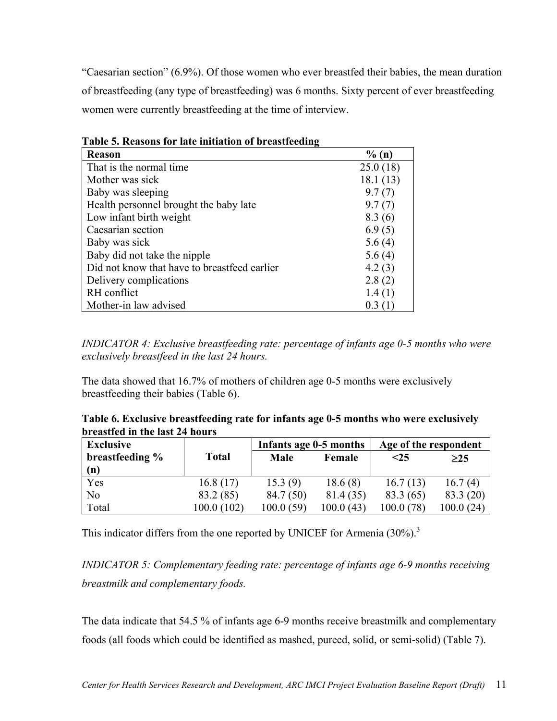"Caesarian section" (6.9%). Of those women who ever breastfed their babies, the mean duration of breastfeeding (any type of breastfeeding) was 6 months. Sixty percent of ever breastfeeding women were currently breastfeeding at the time of interview.

| <b>Reason</b>                                | $\%$ (n) |
|----------------------------------------------|----------|
| That is the normal time.                     | 25.0(18) |
| Mother was sick                              | 18.1(13) |
| Baby was sleeping                            | 9.7(7)   |
| Health personnel brought the baby late       | 9.7(7)   |
| Low infant birth weight                      | 8.3(6)   |
| Caesarian section                            | 6.9(5)   |
| Baby was sick                                | 5.6(4)   |
| Baby did not take the nipple                 | 5.6(4)   |
| Did not know that have to breastfeed earlier | 4.2(3)   |
| Delivery complications                       | 2.8(2)   |
| RH conflict                                  | 1.4(1)   |
| Mother-in law advised                        | 0.3(1)   |

**Table 5. Reasons for late initiation of breastfeeding** 

*INDICATOR 4: Exclusive breastfeeding rate: percentage of infants age 0-5 months who were exclusively breastfeed in the last 24 hours.*

The data showed that 16.7% of mothers of children age 0-5 months were exclusively breastfeeding their babies (Table 6).

| Table 6. Exclusive breastfeeding rate for infants age 0-5 months who were exclusively |  |
|---------------------------------------------------------------------------------------|--|
| breastfed in the last 24 hours                                                        |  |

| <b>Exclusive</b> |              | Infants age 0-5 months |           | Age of the respondent |           |
|------------------|--------------|------------------------|-----------|-----------------------|-----------|
| breastfeeding %  | <b>Total</b> | <b>Male</b>            | Female    | $\leq$ 25             | $\geq$ 25 |
| (n)              |              |                        |           |                       |           |
| Yes              | 16.8(17)     | 15.3(9)                | 18.6(8)   | 16.7(13)              | 16.7(4)   |
| No               | 83.2 (85)    | 84.7 (50)              | 81.4 (35) | 83.3 (65)             | 83.3 (20) |
| Total            | 100.0(102)   | 100.0(59)              | 100.0(43) | 100.0 (               | 100.0(24) |

This indicator differs from the one reported by UNICEF for Armenia  $(30\%)$  $(30\%)$  $(30\%)$ .<sup>3</sup>

*INDICATOR 5: Complementary feeding rate: percentage of infants age 6-9 months receiving breastmilk and complementary foods.*

The data indicate that 54.5 % of infants age 6-9 months receive breastmilk and complementary foods (all foods which could be identified as mashed, pureed, solid, or semi-solid) (Table 7).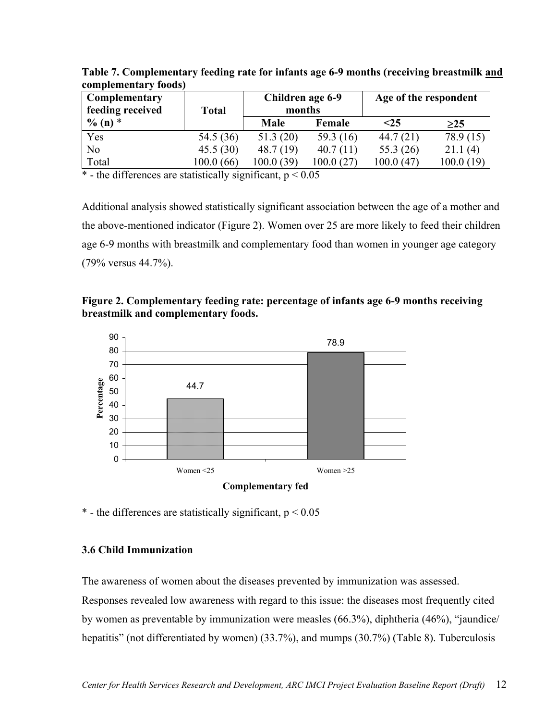| Complementary<br>feeding received | <b>Total</b> |             | Children age 6-9<br>months |           | Age of the respondent |  |
|-----------------------------------|--------------|-------------|----------------------------|-----------|-----------------------|--|
| $\%$ (n) $*$                      |              | <b>Male</b> | Female                     | $25$      | $\geq$ 25             |  |
| Yes                               | 54.5 (36)    | 51.3(20)    | 59.3 $(16)$                | 44.7(21)  | 78.9 (15)             |  |
| No                                | 45.5(30)     | 48.7(19)    | 40.7(11)                   | 55.3 (26) | 21.1(4)               |  |
| Total                             | 100.0 (66)   | 100.0 (39)  | 100.0 (27)                 | 100.0(47) | 100.0(19)             |  |

<span id="page-17-0"></span>**Table 7. Complementary feeding rate for infants age 6-9 months (receiving breastmilk and complementary foods)** 

\* - the differences are statistically significant,  $p < 0.05$ 

Additional analysis showed statistically significant association between the age of a mother and the above-mentioned indicator (Figure 2). Women over 25 are more likely to feed their children age 6-9 months with breastmilk and complementary food than women in younger age category (79% versus 44.7%).





\* - the differences are statistically significant,  $p < 0.05$ 

#### **3.6 Child Immunization**

The awareness of women about the diseases prevented by immunization was assessed.

Responses revealed low awareness with regard to this issue: the diseases most frequently cited by women as preventable by immunization were measles (66.3%), diphtheria (46%), "jaundice/ hepatitis" (not differentiated by women) (33.7%), and mumps (30.7%) (Table 8). Tuberculosis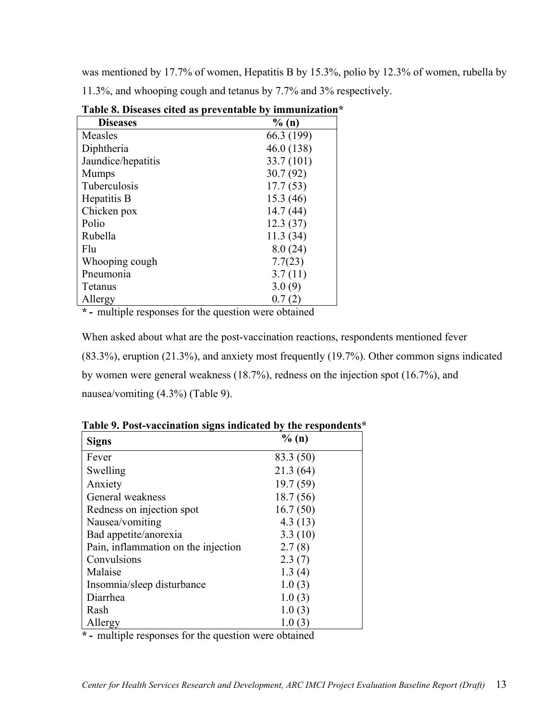was mentioned by 17.7% of women, Hepatitis B by 15.3%, polio by 12.3% of women, rubella by 11.3%, and whooping cough and tetanus by 7.7% and 3% respectively.

| Table 0. Diseases cited as preventable by immunization |            |  |  |  |
|--------------------------------------------------------|------------|--|--|--|
| <b>Diseases</b>                                        | % (n)      |  |  |  |
| Measles                                                | 66.3 (199) |  |  |  |
| Diphtheria                                             | 46.0 (138) |  |  |  |
| Jaundice/hepatitis                                     | 33.7 (101) |  |  |  |
| <b>Mumps</b>                                           | 30.7(92)   |  |  |  |
| Tuberculosis                                           | 17.7(53)   |  |  |  |
| Hepatitis B                                            | 15.3 (46)  |  |  |  |
| Chicken pox                                            | 14.7(44)   |  |  |  |
| Polio                                                  | 12.3(37)   |  |  |  |
| Rubella                                                | 11.3(34)   |  |  |  |
| Flu                                                    | 8.0(24)    |  |  |  |
| Whooping cough                                         | 7.7(23)    |  |  |  |
| Pneumonia                                              | 3.7(11)    |  |  |  |
| Tetanus                                                | 3.0(9)     |  |  |  |
| Allergy                                                | 0.7(2)     |  |  |  |

**Table 8. Diseases cited as preventable by immunization\*** 

**\* -** multiple responses for the question were obtained

When asked about what are the post-vaccination reactions, respondents mentioned fever (83.3%), eruption (21.3%), and anxiety most frequently (19.7%). Other common signs indicated by women were general weakness (18.7%), redness on the injection spot (16.7%), and nausea/vomiting (4.3%) (Table 9).

| <b>Signs</b>                        | % (n)     |
|-------------------------------------|-----------|
| Fever                               | 83.3 (50) |
| Swelling                            | 21.3(64)  |
| Anxiety                             | 19.7(59)  |
| General weakness                    | 18.7(56)  |
| Redness on injection spot           | 16.7(50)  |
| Nausea/vomiting                     | 4.3(13)   |
| Bad appetite/anorexia               | 3.3(10)   |
| Pain, inflammation on the injection | 2.7(8)    |
| Convulsions                         | 2.3(7)    |
| Malaise                             | 1.3(4)    |
| Insomnia/sleep disturbance          | 1.0(3)    |
| Diarrhea                            | 1.0(3)    |
| Rash                                | 1.0(3)    |
| Allergy                             | 1.0(3)    |

**Table 9. Post-vaccination signs indicated by the respondents\*** 

**\* -** multiple responses for the question were obtained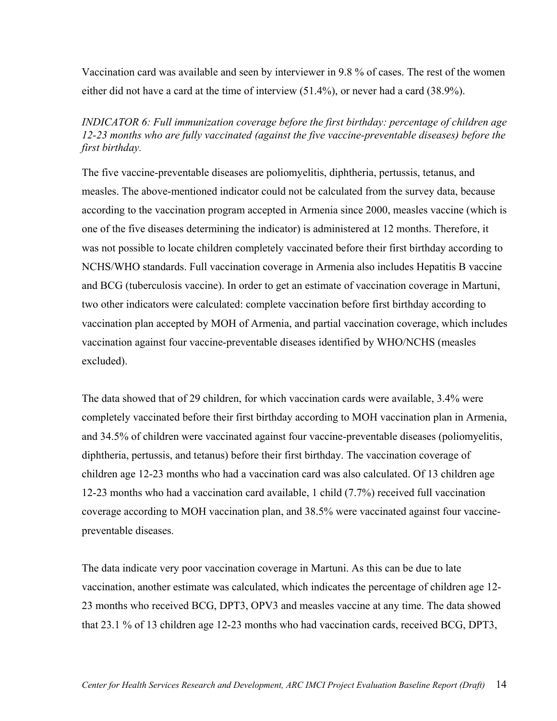Vaccination card was available and seen by interviewer in 9.8 % of cases. The rest of the women either did not have a card at the time of interview (51.4%), or never had a card (38.9%).

*INDICATOR 6: Full immunization coverage before the first birthday: percentage of children age 12-23 months who are fully vaccinated (against the five vaccine-preventable diseases) before the first birthday.* 

The five vaccine-preventable diseases are poliomyelitis, diphtheria, pertussis, tetanus, and measles. The above-mentioned indicator could not be calculated from the survey data, because according to the vaccination program accepted in Armenia since 2000, measles vaccine (which is one of the five diseases determining the indicator) is administered at 12 months. Therefore, it was not possible to locate children completely vaccinated before their first birthday according to NCHS/WHO standards. Full vaccination coverage in Armenia also includes Hepatitis B vaccine and BCG (tuberculosis vaccine). In order to get an estimate of vaccination coverage in Martuni, two other indicators were calculated: complete vaccination before first birthday according to vaccination plan accepted by MOH of Armenia, and partial vaccination coverage, which includes vaccination against four vaccine-preventable diseases identified by WHO/NCHS (measles excluded).

The data showed that of 29 children, for which vaccination cards were available, 3.4% were completely vaccinated before their first birthday according to MOH vaccination plan in Armenia, and 34.5% of children were vaccinated against four vaccine-preventable diseases (poliomyelitis, diphtheria, pertussis, and tetanus) before their first birthday. The vaccination coverage of children age 12-23 months who had a vaccination card was also calculated. Of 13 children age 12-23 months who had a vaccination card available, 1 child (7.7%) received full vaccination coverage according to MOH vaccination plan, and 38.5% were vaccinated against four vaccinepreventable diseases.

The data indicate very poor vaccination coverage in Martuni. As this can be due to late vaccination, another estimate was calculated, which indicates the percentage of children age 12- 23 months who received BCG, DPT3, OPV3 and measles vaccine at any time. The data showed that 23.1 % of 13 children age 12-23 months who had vaccination cards, received BCG, DPT3,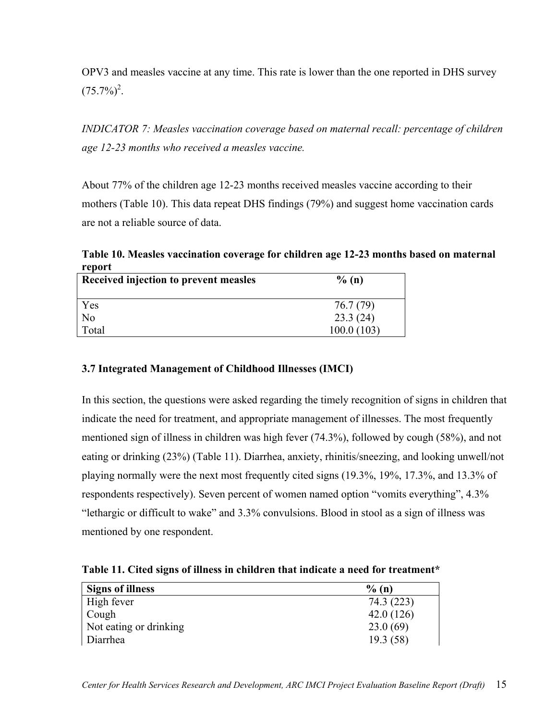<span id="page-20-0"></span>OPV3 and measles vaccine at any time. This rate is lower than the one reported in DHS survey  $(75.7\%)^2$  $(75.7\%)^2$ .

*INDICATOR 7: Measles vaccination coverage based on maternal recall: percentage of children age 12-23 months who received a measles vaccine.* 

About 77% of the children age 12-23 months received measles vaccine according to their mothers (Table 10). This data repeat DHS findings (79%) and suggest home vaccination cards are not a reliable source of data.

**Table 10. Measles vaccination coverage for children age 12-23 months based on maternal report** 

| Received injection to prevent measles | $\%$ (n)   |
|---------------------------------------|------------|
| Yes                                   | 76.7 (79)  |
| N <sub>0</sub>                        | 23.3(24)   |
| Total                                 | 100.0(103) |

## **3.7 Integrated Management of Childhood Illnesses (IMCI)**

In this section, the questions were asked regarding the timely recognition of signs in children that indicate the need for treatment, and appropriate management of illnesses. The most frequently mentioned sign of illness in children was high fever (74.3%), followed by cough (58%), and not eating or drinking (23%) (Table 11). Diarrhea, anxiety, rhinitis/sneezing, and looking unwell/not playing normally were the next most frequently cited signs (19.3%, 19%, 17.3%, and 13.3% of respondents respectively). Seven percent of women named option "vomits everything", 4.3% "lethargic or difficult to wake" and 3.3% convulsions. Blood in stool as a sign of illness was mentioned by one respondent.

**Table 11. Cited signs of illness in children that indicate a need for treatment\*** 

| <b>Signs of illness</b> | $\%$ (n)   |
|-------------------------|------------|
| High fever              | 74.3 (223) |
| Cough                   | 42.0(126)  |
| Not eating or drinking  | 23.0(69)   |
| Diarrhea                | 19.3(58)   |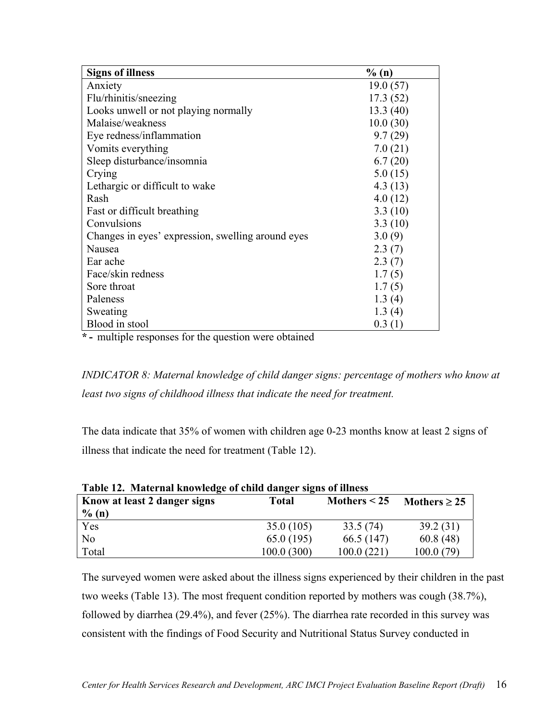| <b>Signs of illness</b>                           | % (n)    |
|---------------------------------------------------|----------|
| Anxiety                                           | 19.0(57) |
| Flu/rhinitis/sneezing                             | 17.3(52) |
| Looks unwell or not playing normally              | 13.3(40) |
| Malaise/weakness                                  | 10.0(30) |
| Eye redness/inflammation                          | 9.7(29)  |
| Vomits everything                                 | 7.0(21)  |
| Sleep disturbance/insomnia                        | 6.7(20)  |
| Crying                                            | 5.0(15)  |
| Lethargic or difficult to wake                    | 4.3(13)  |
| Rash                                              | 4.0(12)  |
| Fast or difficult breathing                       | 3.3(10)  |
| Convulsions                                       | 3.3(10)  |
| Changes in eyes' expression, swelling around eyes | 3.0(9)   |
| Nausea                                            | 2.3(7)   |
| Ear ache                                          | 2.3(7)   |
| Face/skin redness                                 | 1.7(5)   |
| Sore throat                                       | 1.7(5)   |
| Paleness                                          | 1.3(4)   |
| Sweating                                          | 1.3(4)   |
| Blood in stool                                    | 0.3(1)   |

**\* -** multiple responses for the question were obtained

*INDICATOR 8: Maternal knowledge of child danger signs: percentage of mothers who know at*  least two signs of childhood illness that indicate the need for treatment.

The data indicate that 35% of women with children age 0-23 months know at least 2 signs of illness that indicate the need for treatment (Table 12).

| Know at least 2 danger signs<br>$\%$ (n) | Total       | Mothers $<$ 25 | Mothers $\geq$ 25 |
|------------------------------------------|-------------|----------------|-------------------|
| Yes                                      | 35.0(105)   | 33.5(74)       | 39.2(31)          |
| N <sub>0</sub>                           | 65.0(195)   | 66.5 (147)     | 60.8(48)          |
| Total                                    | 100.0 (300) | 100.0 (221)    | 100.0 (79)        |

|  |  | Table 12. Maternal knowledge of child danger signs of illness |  |
|--|--|---------------------------------------------------------------|--|
|  |  |                                                               |  |

The surveyed women were asked about the illness signs experienced by their children in the past two weeks (Table 13). The most frequent condition reported by mothers was cough (38.7%), followed by diarrhea (29.4%), and fever (25%). The diarrhea rate recorded in this survey was consistent with the findings of Food Security and Nutritional Status Survey conducted in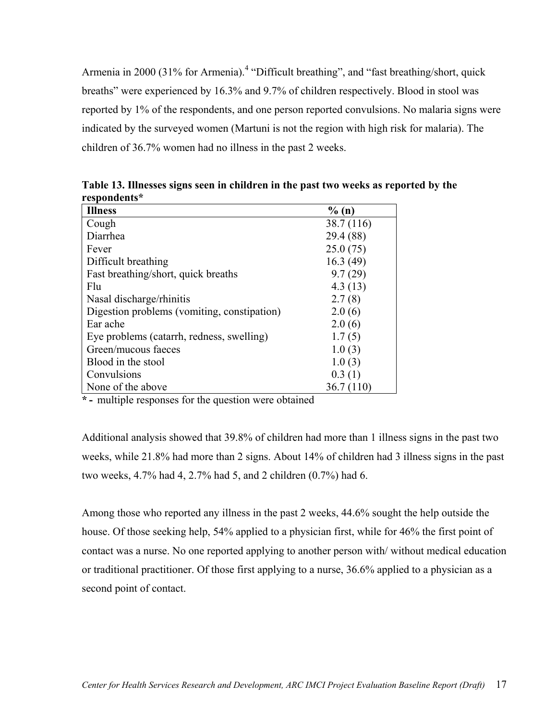Armeniain 2000 (31% for Armenia).<sup>4</sup> "Difficult breathing", and "fast breathing/short, quick breaths" were experienced by 16.3% and 9.7% of children respectively. Blood in stool was reported by 1% of the respondents, and one person reported convulsions. No malaria signs were indicated by the surveyed women (Martuni is not the region with high risk for malaria). The children of 36.7% women had no illness in the past 2 weeks.

| <b>Illness</b>                              | $\%$ (n)   |
|---------------------------------------------|------------|
| Cough                                       | 38.7 (116) |
| Diarrhea                                    | 29.4 (88)  |
| Fever                                       | 25.0(75)   |
| Difficult breathing                         | 16.3(49)   |
| Fast breathing/short, quick breaths         | 9.7(29)    |
| Flu                                         | 4.3(13)    |
| Nasal discharge/rhinitis                    | 2.7(8)     |
| Digestion problems (vomiting, constipation) | 2.0(6)     |
| Ear ache                                    | 2.0(6)     |
| Eye problems (catarrh, redness, swelling)   | 1.7(5)     |
| Green/mucous faeces                         | 1.0(3)     |
| Blood in the stool                          | 1.0(3)     |
| Convulsions                                 | 0.3(1)     |
| None of the above                           | 36.7 (110) |

**Table 13. Illnesses signs seen in children in the past two weeks as reported by the respondents\*** 

**\* -** multiple responses for the question were obtained

Additional analysis showed that 39.8% of children had more than 1 illness signs in the past two weeks, while 21.8% had more than 2 signs. About 14% of children had 3 illness signs in the past two weeks, 4.7% had 4, 2.7% had 5, and 2 children (0.7%) had 6.

Among those who reported any illness in the past 2 weeks, 44.6% sought the help outside the house. Of those seeking help, 54% applied to a physician first, while for 46% the first point of contact was a nurse. No one reported applying to another person with/ without medical education or traditional practitioner. Of those first applying to a nurse, 36.6% applied to a physician as a second point of contact.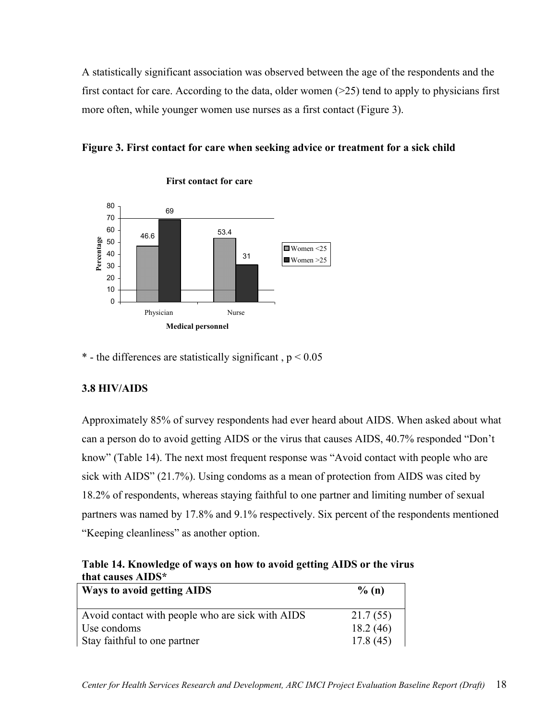<span id="page-23-0"></span>A statistically significant association was observed between the age of the respondents and the first contact for care. According to the data, older women  $(>=25)$  tend to apply to physicians first more often, while younger women use nurses as a first contact (Figure 3).





**First contact for care**

\* - the differences are statistically significant,  $p < 0.05$ 

## **3.8 HIV/AIDS**

Approximately 85% of survey respondents had ever heard about AIDS. When asked about what can a person do to avoid getting AIDS or the virus that causes AIDS, 40.7% responded "Don't know" (Table 14). The next most frequent response was "Avoid contact with people who are sick with AIDS" (21.7%). Using condoms as a mean of protection from AIDS was cited by 18.2% of respondents, whereas staying faithful to one partner and limiting number of sexual partners was named by 17.8% and 9.1% respectively. Six percent of the respondents mentioned "Keeping cleanliness" as another option.

**Table 14. Knowledge of ways on how to avoid getting AIDS or the virus that causes AIDS\*** 

| <b>Ways to avoid getting AIDS</b>                | $\%$ (n) |
|--------------------------------------------------|----------|
| Avoid contact with people who are sick with AIDS | 21.7(55) |
| Use condoms                                      | 18.2(46) |
| Stay faithful to one partner                     | 17.8(45) |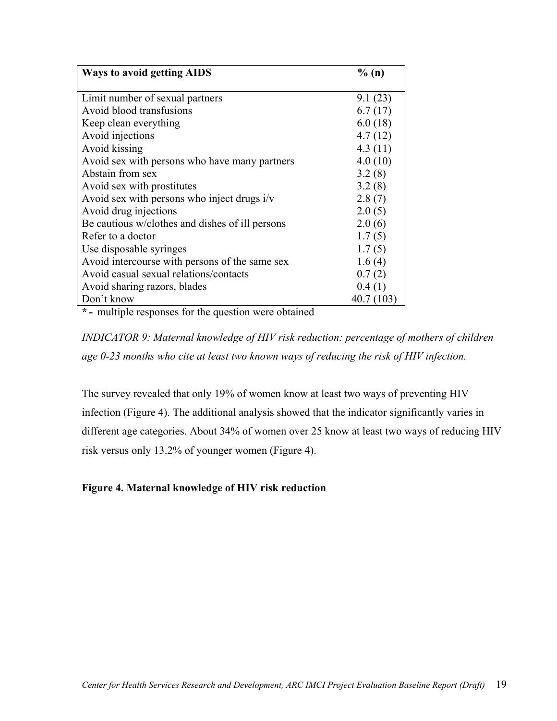| <b>Ways to avoid getting AIDS</b>               | % (n)      |
|-------------------------------------------------|------------|
|                                                 |            |
| Limit number of sexual partners                 | 9.1(23)    |
| Avoid blood transfusions                        | 6.7(17)    |
| Keep clean everything                           | 6.0(18)    |
| Avoid injections                                | 4.7(12)    |
| Avoid kissing                                   | 4.3(11)    |
| Avoid sex with persons who have many partners   | 4.0(10)    |
| Abstain from sex                                | 3.2(8)     |
| Avoid sex with prostitutes                      | 3.2(8)     |
| Avoid sex with persons who inject drugs $i/v$   | 2.8(7)     |
| Avoid drug injections                           | 2.0(5)     |
| Be cautious w/clothes and dishes of ill persons | 2.0(6)     |
| Refer to a doctor                               | 1.7(5)     |
| Use disposable syringes                         | 1.7(5)     |
| Avoid intercourse with persons of the same sex  | 1.6(4)     |
| Avoid casual sexual relations/contacts          | 0.7(2)     |
| Avoid sharing razors, blades                    | 0.4(1)     |
| Don't know                                      | 40.7 (103) |

**\* -** multiple responses for the question were obtained

*INDICATOR 9: Maternal knowledge of HIV risk reduction: percentage of mothers of children age 0-23 months who cite at least two known ways of reducing the risk of HIV infection.* 

The survey revealed that only 19% of women know at least two ways of preventing HIV infection (Figure 4). The additional analysis showed that the indicator significantly varies in different age categories. About 34% of women over 25 know at least two ways of reducing HIV risk versus only 13.2% of younger women (Figure 4).

## **Figure 4. Maternal knowledge of HIV risk reduction**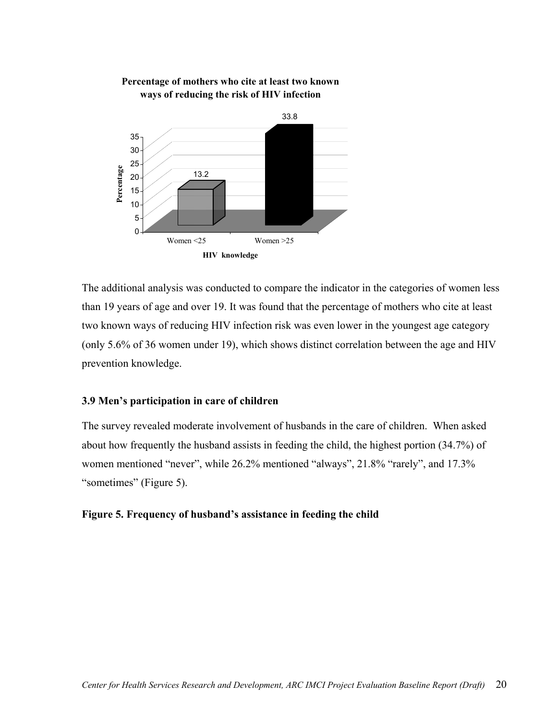

<span id="page-25-0"></span>

The additional analysis was conducted to compare the indicator in the categories of women less than 19 years of age and over 19. It was found that the percentage of mothers who cite at least two known ways of reducing HIV infection risk was even lower in the youngest age category (only 5.6% of 36 women under 19), which shows distinct correlation between the age and HIV prevention knowledge.

#### **3.9 Men's participation in care of children**

The survey revealed moderate involvement of husbands in the care of children. When asked about how frequently the husband assists in feeding the child, the highest portion (34.7%) of women mentioned "never", while 26.2% mentioned "always", 21.8% "rarely", and 17.3% "sometimes" (Figure 5).

#### **Figure 5. Frequency of husband's assistance in feeding the child**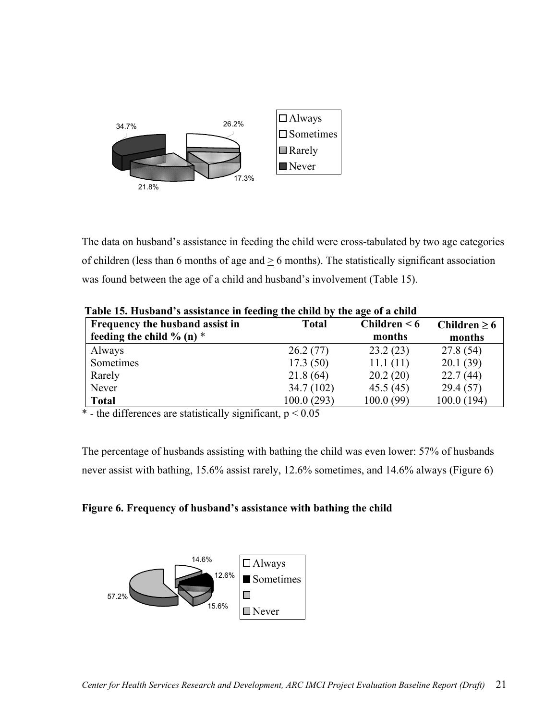

The data on husband's assistance in feeding the child were cross-tabulated by two age categories of children (less than 6 months of age and  $\geq$  6 months). The statistically significant association was found between the age of a child and husband's involvement (Table 15).

| Frequency the husband assist in<br>feeding the child $\%$ (n) $*$ | <b>Total</b> | Children $< 6$<br>months | Children $\geq 6$<br>months |
|-------------------------------------------------------------------|--------------|--------------------------|-----------------------------|
| Always                                                            | 26.2(77)     | 23.2(23)                 | 27.8 (54)                   |
| Sometimes                                                         | 17.3(50)     | 11.1(11)                 | 20.1(39)                    |
| Rarely                                                            | 21.8(64)     | 20.2(20)                 | 22.7(44)                    |
| Never                                                             | 34.7(102)    | 45.5(45)                 | 29.4(57)                    |
| <b>Total</b>                                                      | 100.0(293)   | 100.0(99)                | 100.0(194)                  |

**Table 15. Husband's assistance in feeding the child by the age of a child** 

 $*$  - the differences are statistically significant,  $p < 0.05$ 

The percentage of husbands assisting with bathing the child was even lower: 57% of husbands never assist with bathing, 15.6% assist rarely, 12.6% sometimes, and 14.6% always (Figure 6)



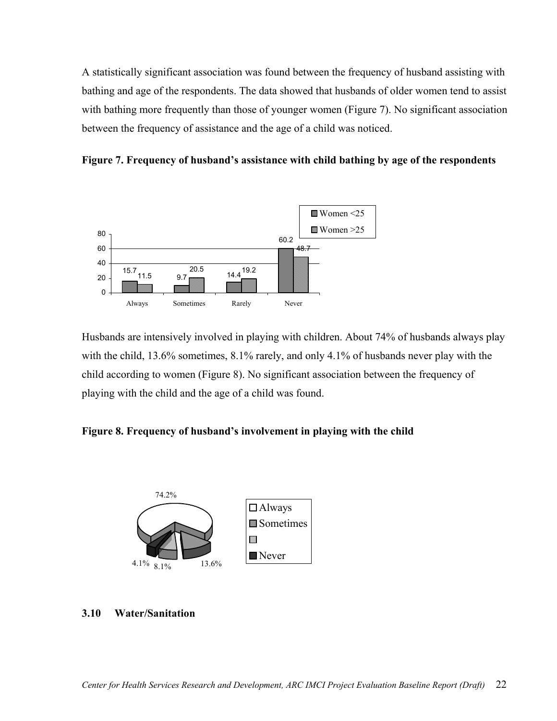<span id="page-27-0"></span>A statistically significant association was found between the frequency of husband assisting with bathing and age of the respondents. The data showed that husbands of older women tend to assist with bathing more frequently than those of younger women (Figure 7). No significant association between the frequency of assistance and the age of a child was noticed.

**Figure 7. Frequency of husband's assistance with child bathing by age of the respondents**



Husbands are intensively involved in playing with children. About 74% of husbands always play with the child, 13.6% sometimes, 8.1% rarely, and only 4.1% of husbands never play with the child according to women (Figure 8). No significant association between the frequency of playing with the child and the age of a child was found.

**Figure 8. Frequency of husband's involvement in playing with the child**



#### **3.10 Water/Sanitation**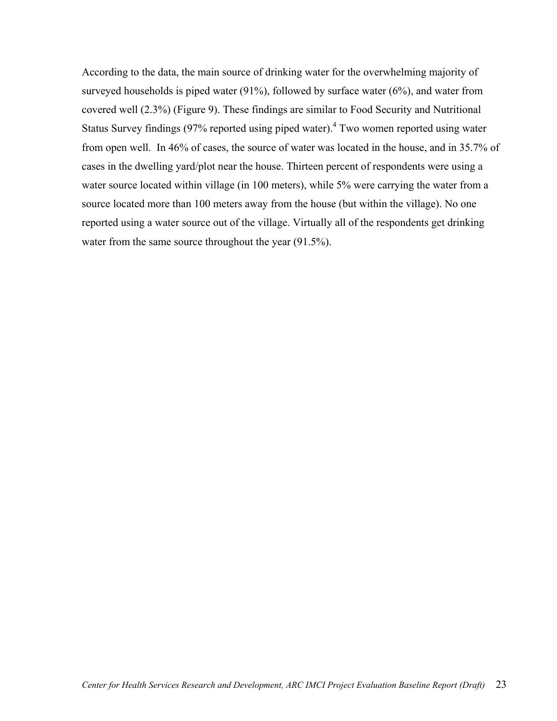According to the data, the main source of drinking water for the overwhelming majority of surveyed households is piped water  $(91\%)$ , followed by surface water  $(6\%)$ , and water from covered well (2.3%) (Figure 9). These findings are similar to Food Security and Nutritional StatusSurvey findings (97% reported using piped water).<sup>4</sup> Two women reported using water from open well. In 46% of cases, the source of water was located in the house, and in 35.7% of cases in the dwelling yard/plot near the house. Thirteen percent of respondents were using a water source located within village (in 100 meters), while 5% were carrying the water from a source located more than 100 meters away from the house (but within the village). No one reported using a water source out of the village. Virtually all of the respondents get drinking water from the same source throughout the year  $(91.5\%)$ .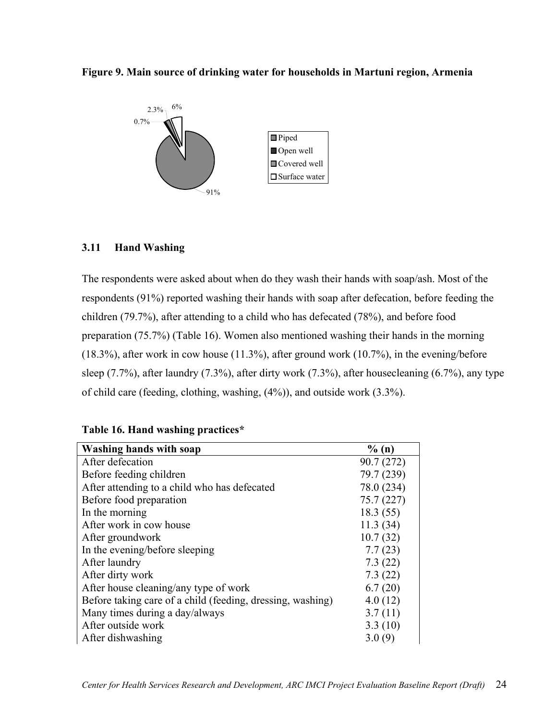<span id="page-29-0"></span>



## **3.11 Hand Washing**

The respondents were asked about when do they wash their hands with soap/ash. Most of the respondents (91%) reported washing their hands with soap after defecation, before feeding the children (79.7%), after attending to a child who has defecated (78%), and before food preparation (75.7%) (Table 16). Women also mentioned washing their hands in the morning (18.3%), after work in cow house (11.3%), after ground work (10.7%), in the evening/before sleep (7.7%), after laundry (7.3%), after dirty work (7.3%), after housecleaning (6.7%), any type of child care (feeding, clothing, washing, (4%)), and outside work (3.3%).

#### **Table 16. Hand washing practices\***

| <b>Washing hands with soap</b>                             | $\%$ (n)   |
|------------------------------------------------------------|------------|
| After defecation                                           | 90.7(272)  |
| Before feeding children                                    | 79.7 (239) |
| After attending to a child who has defecated               | 78.0 (234) |
| Before food preparation                                    | 75.7(227)  |
| In the morning                                             | 18.3(55)   |
| After work in cow house                                    | 11.3(34)   |
| After groundwork                                           | 10.7(32)   |
| In the evening/before sleeping                             | 7.7(23)    |
| After laundry                                              | 7.3(22)    |
| After dirty work                                           | 7.3(22)    |
| After house cleaning/any type of work                      | 6.7(20)    |
| Before taking care of a child (feeding, dressing, washing) | 4.0(12)    |
| Many times during a day/always                             | 3.7(11)    |
| After outside work                                         | 3.3(10)    |
| After dishwashing                                          | 3.0(9)     |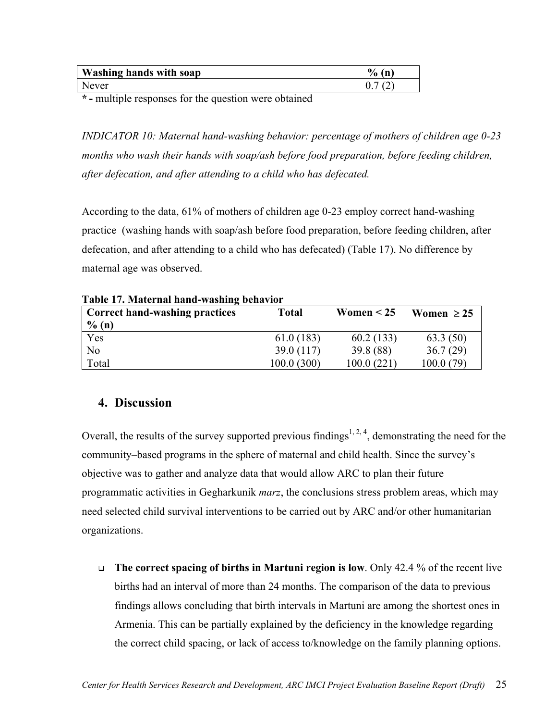<span id="page-30-0"></span>

| Washing hands with soap | $\frac{6}{9}$<br>m |
|-------------------------|--------------------|
| Never                   |                    |

**\* -** multiple responses for the question were obtained

*INDICATOR 10: Maternal hand-washing behavior: percentage of mothers of children age 0-23 months who wash their hands with soap/ash before food preparation, before feeding children, after defecation, and after attending to a child who has defecated.* 

According to the data, 61% of mothers of children age 0-23 employ correct hand-washing practice (washing hands with soap/ash before food preparation, before feeding children, after defecation, and after attending to a child who has defecated) (Table 17). No difference by maternal age was observed.

| <b>Correct hand-washing practices</b> | <b>Total</b> | Women $< 25$ | Women $\geq$ 25 |
|---------------------------------------|--------------|--------------|-----------------|
| $\%$ (n)                              |              |              |                 |
| Yes                                   | 61.0(183)    | 60.2(133)    | 63.3(50)        |
| No                                    | 39.0 (117)   | 39.8 (88)    | 36.7(29)        |
| Total                                 | 100.0(300)   | 100.0(221)   | 100.0(79)       |

**Table 17. Maternal hand-washing behavior** 

## **4. Discussion**

Overall, the results of the survey supported previous findings<sup>[1,](#page-6-4) [2,](#page-6-5) 4</sup>, demonstrating the need for the community–based programs in the sphere of maternal and child health. Since the survey's objective was to gather and analyze data that would allow ARC to plan their future programmatic activities in Gegharkunik *marz*, the conclusions stress problem areas, which may need selected child survival interventions to be carried out by ARC and/or other humanitarian organizations.

 **The correct spacing of births in Martuni region is low**. Only 42.4 % of the recent live births had an interval of more than 24 months. The comparison of the data to previous findings allows concluding that birth intervals in Martuni are among the shortest ones in Armenia. This can be partially explained by the deficiency in the knowledge regarding the correct child spacing, or lack of access to/knowledge on the family planning options.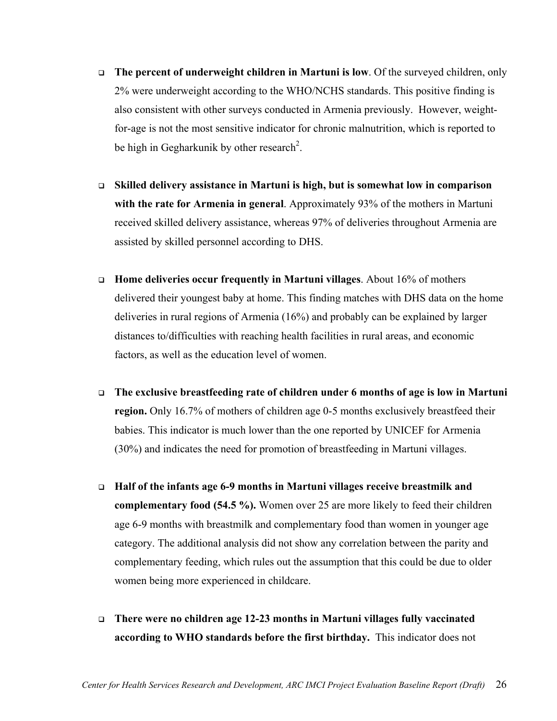- **The percent of underweight children in Martuni is low**. Of the surveyed children, only 2% were underweight according to the WHO/NCHS standards. This positive finding is also consistent with other surveys conducted in Armenia previously. However, weightfor-age is not the most sensitive indicator for chronic malnutrition, which is reported to be high in Gegharkunik by other research<sup>[2](#page-6-5)</sup>.
- **Skilled delivery assistance in Martuni is high, but is somewhat low in comparison with the rate for Armenia in general**. Approximately 93% of the mothers in Martuni received skilled delivery assistance, whereas 97% of deliveries throughout Armenia are assisted by skilled personnel according to DHS.
- **Home deliveries occur frequently in Martuni villages**. About 16% of mothers delivered their youngest baby at home. This finding matches with DHS data on the home deliveries in rural regions of Armenia (16%) and probably can be explained by larger distances to/difficulties with reaching health facilities in rural areas, and economic factors, as well as the education level of women.
- **The exclusive breastfeeding rate of children under 6 months of age is low in Martuni region.** Only 16.7% of mothers of children age 0-5 months exclusively breastfeed their babies. This indicator is much lower than the one reported by UNICEF for Armenia (30%) and indicates the need for promotion of breastfeeding in Martuni villages.
- **Half of the infants age 6-9 months in Martuni villages receive breastmilk and complementary food (54.5 %).** Women over 25 are more likely to feed their children age 6-9 months with breastmilk and complementary food than women in younger age category. The additional analysis did not show any correlation between the parity and complementary feeding, which rules out the assumption that this could be due to older women being more experienced in childcare.
- **There were no children age 12-23 months in Martuni villages fully vaccinated according to WHO standards before the first birthday.** This indicator does not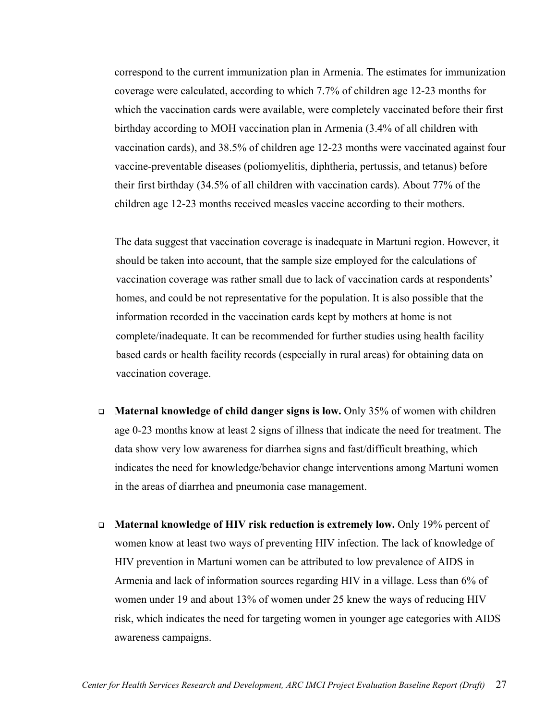correspond to the current immunization plan in Armenia. The estimates for immunization coverage were calculated, according to which 7.7% of children age 12-23 months for which the vaccination cards were available, were completely vaccinated before their first birthday according to MOH vaccination plan in Armenia (3.4% of all children with vaccination cards), and 38.5% of children age 12-23 months were vaccinated against four vaccine-preventable diseases (poliomyelitis, diphtheria, pertussis, and tetanus) before their first birthday (34.5% of all children with vaccination cards). About 77% of the children age 12-23 months received measles vaccine according to their mothers.

The data suggest that vaccination coverage is inadequate in Martuni region. However, it should be taken into account, that the sample size employed for the calculations of vaccination coverage was rather small due to lack of vaccination cards at respondents' homes, and could be not representative for the population. It is also possible that the information recorded in the vaccination cards kept by mothers at home is not complete/inadequate. It can be recommended for further studies using health facility based cards or health facility records (especially in rural areas) for obtaining data on vaccination coverage.

- **Maternal knowledge of child danger signs is low.** Only 35% of women with children age 0-23 months know at least 2 signs of illness that indicate the need for treatment. The data show very low awareness for diarrhea signs and fast/difficult breathing, which indicates the need for knowledge/behavior change interventions among Martuni women in the areas of diarrhea and pneumonia case management.
- **Maternal knowledge of HIV risk reduction is extremely low.** Only 19% percent of women know at least two ways of preventing HIV infection. The lack of knowledge of HIV prevention in Martuni women can be attributed to low prevalence of AIDS in Armenia and lack of information sources regarding HIV in a village. Less than 6% of women under 19 and about 13% of women under 25 knew the ways of reducing HIV risk, which indicates the need for targeting women in younger age categories with AIDS awareness campaigns.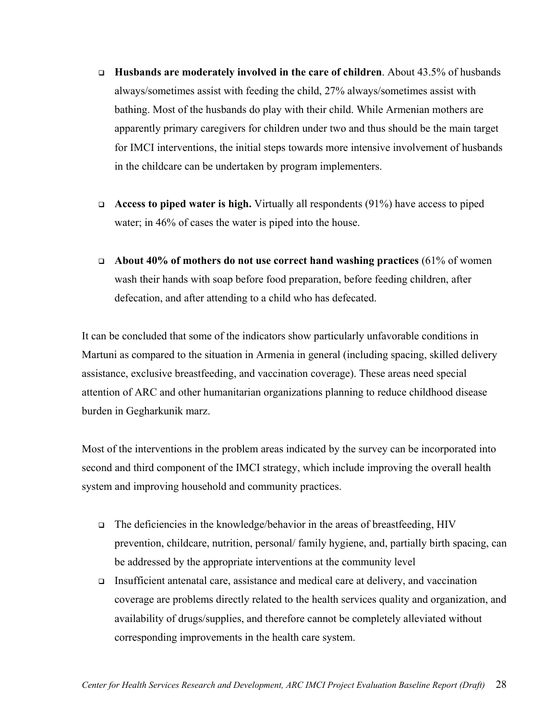- **Husbands are moderately involved in the care of children**. About 43.5% of husbands always/sometimes assist with feeding the child, 27% always/sometimes assist with bathing. Most of the husbands do play with their child. While Armenian mothers are apparently primary caregivers for children under two and thus should be the main target for IMCI interventions, the initial steps towards more intensive involvement of husbands in the childcare can be undertaken by program implementers.
- **Access to piped water is high.** Virtually all respondents (91%) have access to piped water; in 46% of cases the water is piped into the house.
- **About 40% of mothers do not use correct hand washing practices** (61% of women wash their hands with soap before food preparation, before feeding children, after defecation, and after attending to a child who has defecated.

It can be concluded that some of the indicators show particularly unfavorable conditions in Martuni as compared to the situation in Armenia in general (including spacing, skilled delivery assistance, exclusive breastfeeding, and vaccination coverage). These areas need special attention of ARC and other humanitarian organizations planning to reduce childhood disease burden in Gegharkunik marz.

Most of the interventions in the problem areas indicated by the survey can be incorporated into second and third component of the IMCI strategy, which include improving the overall health system and improving household and community practices.

- The deficiencies in the knowledge/behavior in the areas of breastfeeding, HIV prevention, childcare, nutrition, personal/ family hygiene, and, partially birth spacing, can be addressed by the appropriate interventions at the community level
- Insufficient antenatal care, assistance and medical care at delivery, and vaccination coverage are problems directly related to the health services quality and organization, and availability of drugs/supplies, and therefore cannot be completely alleviated without corresponding improvements in the health care system.